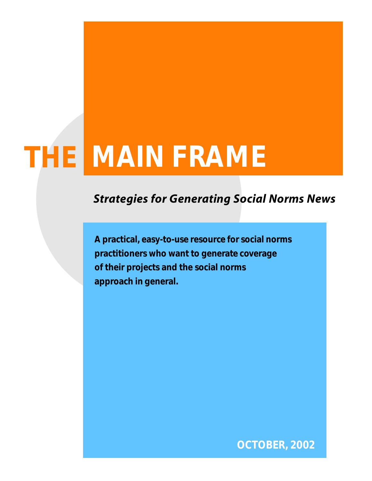# **THE MAIN FRAME**

# **Strategies for Generating Social Norms News**

**A practical, easy-to-use resource for social norms practitioners who want to generate coverage of their projects and the social norms approach in general.**

**O C TO B E R , 2 0 0 2**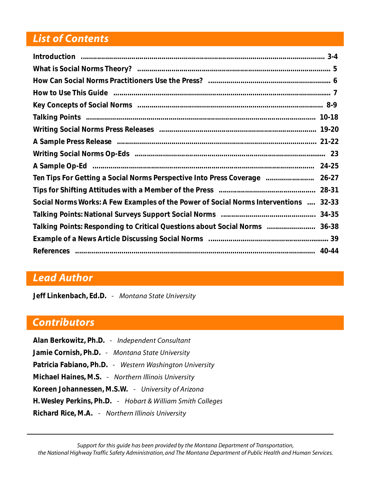### **List of Contents**

| How to Use This Guide manufactured and the Caroline Countries and T           |       |
|-------------------------------------------------------------------------------|-------|
|                                                                               |       |
|                                                                               |       |
|                                                                               |       |
|                                                                               |       |
|                                                                               |       |
|                                                                               |       |
|                                                                               |       |
|                                                                               | 28-31 |
| Social Norms Works: A Few Examples of the Power of Social Norms Interventions | 32-33 |
|                                                                               | 34-35 |
| Talking Points: Responding to Critical Questions about Social Norms  36-38    |       |
|                                                                               |       |
|                                                                               |       |

### **Lead Author**

**Jeff Linkenbach, Ed.D.** - *Montana State University* 

### *<u>Contributors</u>*

Alan Berkowitz, Ph.D. - *Independent Consultant* **Jamie Cornish, Ph.D.** - Montana State University **Patricia Fabiano, Ph.D.** - *Western Washington University* **Michael Haines, M.S. - Northern Illinois University** Koreen Johannessen, M.S.W. - University of Arizona **H. Wesley Perkins, Ph.D.** - *Hobart & William Smith Colleges* **Richard Rice, M.A.** - Northern Illinois University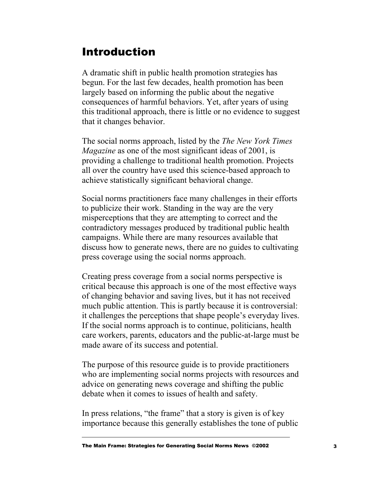### <span id="page-2-0"></span>Introduction

A dramatic shift in public health promotion strategies has begun. For the last few decades, health promotion has been largely based on informing the public about the negative consequences of harmful behaviors. Yet, after years of using this traditional approach, there is little or no evidence to suggest that it changes behavior.

The social norms approach, listed by the *The New York Times Magazine* as one of the most significant ideas of 2001, is providing a challenge to traditional health promotion. Projects all over the country have used this science-based approach to achieve statistically significant behavioral change.

Social norms practitioners face many challenges in their efforts to publicize their work. Standing in the way are the very misperceptions that they are attempting to correct and the contradictory messages produced by traditional public health campaigns. While there are many resources available that discuss how to generate news, there are no guides to cultivating press coverage using the social norms approach.

Creating press coverage from a social norms perspective is critical because this approach is one of the most effective ways of changing behavior and saving lives, but it has not received much public attention. This is partly because it is controversial: it challenges the perceptions that shape people's everyday lives. If the social norms approach is to continue, politicians, health care workers, parents, educators and the public-at-large must be made aware of its success and potential.

The purpose of this resource guide is to provide practitioners who are implementing social norms projects with resources and advice on generating news coverage and shifting the public debate when it comes to issues of health and safety.

In press relations, "the frame" that a story is given is of key importance because this generally establishes the tone of public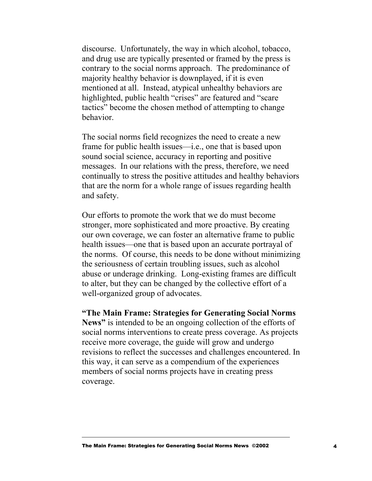discourse. Unfortunately, the way in which alcohol, tobacco, and drug use are typically presented or framed by the press is contrary to the social norms approach. The predominance of majority healthy behavior is downplayed, if it is even mentioned at all. Instead, atypical unhealthy behaviors are highlighted, public health "crises" are featured and "scare" tactics" become the chosen method of attempting to change behavior.

The social norms field recognizes the need to create a new frame for public health issues—i.e., one that is based upon sound social science, accuracy in reporting and positive messages. In our relations with the press, therefore, we need continually to stress the positive attitudes and healthy behaviors that are the norm for a whole range of issues regarding health and safety.

Our efforts to promote the work that we do must become stronger, more sophisticated and more proactive. By creating our own coverage, we can foster an alternative frame to public health issues—one that is based upon an accurate portrayal of the norms. Of course, this needs to be done without minimizing the seriousness of certain troubling issues, such as alcohol abuse or underage drinking. Long-existing frames are difficult to alter, but they can be changed by the collective effort of a well-organized group of advocates.

#### **"The Main Frame: Strategies for Generating Social Norms**

**News"** is intended to be an ongoing collection of the efforts of social norms interventions to create press coverage. As projects receive more coverage, the guide will grow and undergo revisions to reflect the successes and challenges encountered. In this way, it can serve as a compendium of the experiences members of social norms projects have in creating press coverage.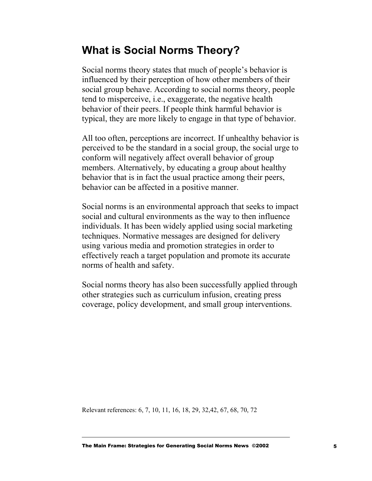### <span id="page-4-0"></span>**What is Social Norms Theory?**

Social norms theory states that much of people's behavior is influenced by their perception of how other members of their social group behave. According to social norms theory, people tend to misperceive, i.e., exaggerate, the negative health behavior of their peers. If people think harmful behavior is typical, they are more likely to engage in that type of behavior.

All too often, perceptions are incorrect. If unhealthy behavior is perceived to be the standard in a social group, the social urge to conform will negatively affect overall behavior of group members. Alternatively, by educating a group about healthy behavior that is in fact the usual practice among their peers, behavior can be affected in a positive manner.

Social norms is an environmental approach that seeks to impact social and cultural environments as the way to then influence individuals. It has been widely applied using social marketing techniques. Normative messages are designed for delivery using various media and promotion strategies in order to effectively reach a target population and promote its accurate norms of health and safety.

Social norms theory has also been successfully applied through other strategies such as curriculum infusion, creating press coverage, policy development, and small group interventions.

Relevant references: 6, 7, 10, 11, 16, 18, 29, 32,42, 67, 68, 70, 72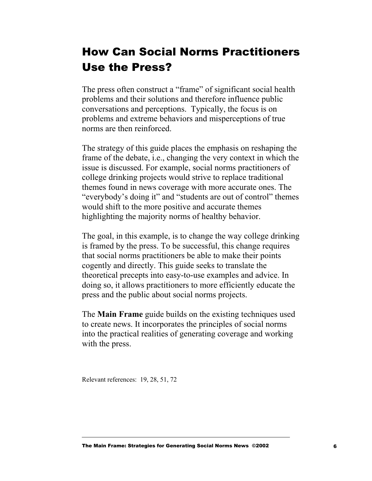# <span id="page-5-0"></span>How Can Social Norms Practitioners Use the Press?

The press often construct a "frame" of significant social health problems and their solutions and therefore influence public conversations and perceptions. Typically, the focus is on problems and extreme behaviors and misperceptions of true norms are then reinforced.

The strategy of this guide places the emphasis on reshaping the frame of the debate, i.e., changing the very context in which the issue is discussed. For example, social norms practitioners of college drinking projects would strive to replace traditional themes found in news coverage with more accurate ones. The "everybody's doing it" and "students are out of control" themes would shift to the more positive and accurate themes highlighting the majority norms of healthy behavior.

The goal, in this example, is to change the way college drinking is framed by the press. To be successful, this change requires that social norms practitioners be able to make their points cogently and directly. This guide seeks to translate the theoretical precepts into easy-to-use examples and advice. In doing so, it allows practitioners to more efficiently educate the press and the public about social norms projects.

The **Main Frame** guide builds on the existing techniques used to create news. It incorporates the principles of social norms into the practical realities of generating coverage and working with the press.

Relevant references: 19, 28, 51, 72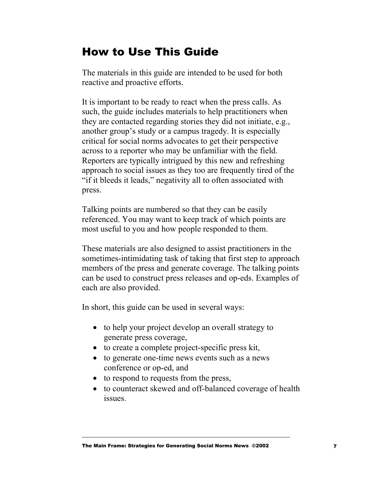# <span id="page-6-0"></span>How to Use This Guide

The materials in this guide are intended to be used for both reactive and proactive efforts.

It is important to be ready to react when the press calls. As such, the guide includes materials to help practitioners when they are contacted regarding stories they did not initiate, e.g., another group's study or a campus tragedy. It is especially critical for social norms advocates to get their perspective across to a reporter who may be unfamiliar with the field. Reporters are typically intrigued by this new and refreshing approach to social issues as they too are frequently tired of the "if it bleeds it leads," negativity all to often associated with press.

Talking points are numbered so that they can be easily referenced. You may want to keep track of which points are most useful to you and how people responded to them.

These materials are also designed to assist practitioners in the sometimes-intimidating task of taking that first step to approach members of the press and generate coverage. The talking points can be used to construct press releases and op-eds. Examples of each are also provided.

In short, this guide can be used in several ways:

- to help your project develop an overall strategy to generate press coverage,
- to create a complete project-specific press kit,
- to generate one-time news events such as a news conference or op-ed, and
- to respond to requests from the press,
- to counteract skewed and off-balanced coverage of health issues.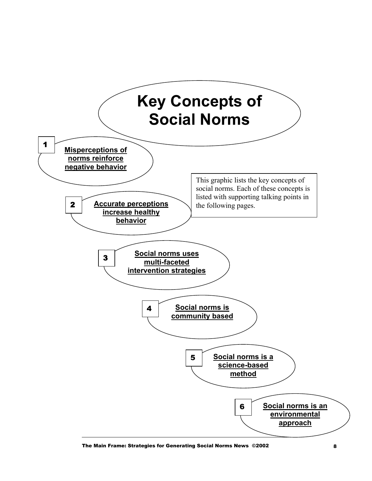<span id="page-7-0"></span>

The Main Frame: Strategies for Generating Social Norms News ©2002 **8** 8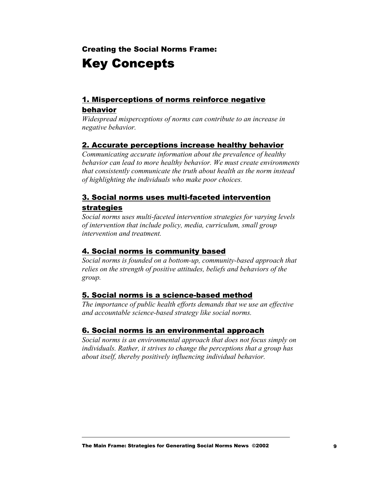### Creating the Social Norms Frame: Key Concepts

#### 1. Misperceptions of norms reinforce negative behavior

*Widespread misperceptions of norms can contribute to an increase in negative behavior.* 

#### 2. Accurate perceptions increase healthy behavior

*Communicating accurate information about the prevalence of healthy behavior can lead to more healthy behavior. We must create environments that consistently communicate the truth about health as the norm instead of highlighting the individuals who make poor choices.* 

#### 3. Social norms uses multi-faceted intervention strategies

*Social norms uses multi-faceted intervention strategies for varying levels of intervention that include policy, media, curriculum, small group intervention and treatment.* 

#### 4. Social norms is community based

*Social norms is founded on a bottom-up, community-based approach that relies on the strength of positive attitudes, beliefs and behaviors of the group.* 

#### 5. Social norms is a science-based method

*The importance of public health efforts demands that we use an effective and accountable science-based strategy like social norms.* 

#### 6. Social norms is an environmental approach

*Social norms is an environmental approach that does not focus simply on individuals. Rather, it strives to change the perceptions that a group has about itself, thereby positively influencing individual behavior.*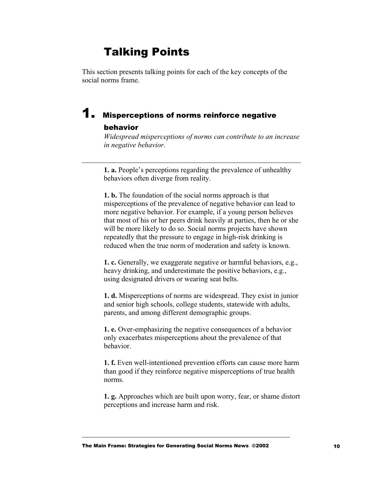### Talking Points

<span id="page-9-0"></span>This section presents talking points for each of the key concepts of the social norms frame.

### **1.** Misperceptions of norms reinforce negative behavior

*Widespread misperceptions of norms can contribute to an increase in negative behavior.*

**1. a.** People's perceptions regarding the prevalence of unhealthy behaviors often diverge from reality.

**1. b.** The foundation of the social norms approach is that misperceptions of the prevalence of negative behavior can lead to more negative behavior. For example, if a young person believes that most of his or her peers drink heavily at parties, then he or she will be more likely to do so. Social norms projects have shown repeatedly that the pressure to engage in high-risk drinking is reduced when the true norm of moderation and safety is known.

**1. c.** Generally, we exaggerate negative or harmful behaviors, e.g., heavy drinking, and underestimate the positive behaviors, e.g., using designated drivers or wearing seat belts.

**1. d.** Misperceptions of norms are widespread. They exist in junior and senior high schools, college students, statewide with adults, parents, and among different demographic groups.

**1. e.** Over-emphasizing the negative consequences of a behavior only exacerbates misperceptions about the prevalence of that behavior.

**1. f.** Even well-intentioned prevention efforts can cause more harm than good if they reinforce negative misperceptions of true health norms.

**1. g.** Approaches which are built upon worry, fear, or shame distort perceptions and increase harm and risk.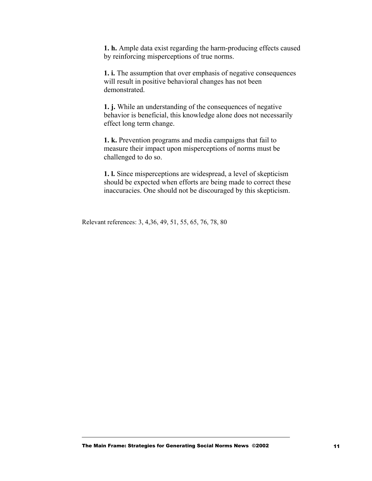**1. h.** Ample data exist regarding the harm-producing effects caused by reinforcing misperceptions of true norms.

**1. i.** The assumption that over emphasis of negative consequences will result in positive behavioral changes has not been demonstrated.

**1. j.** While an understanding of the consequences of negative behavior is beneficial, this knowledge alone does not necessarily effect long term change.

**1. k.** Prevention programs and media campaigns that fail to measure their impact upon misperceptions of norms must be challenged to do so.

**1. l.** Since misperceptions are widespread, a level of skepticism should be expected when efforts are being made to correct these inaccuracies. One should not be discouraged by this skepticism.

Relevant references: 3, 4,36, 49, 51, 55, 65, 76, 78, 80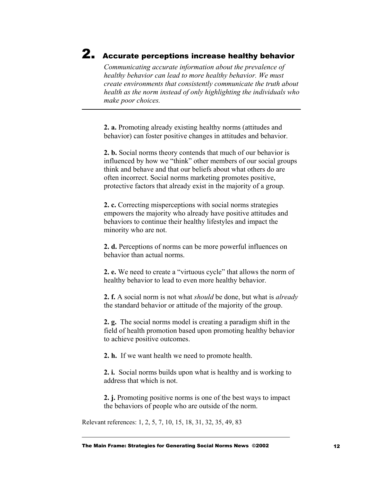# **2.** Accurate perceptions increase healthy behavior

I

*Communicating accurate information about the prevalence of healthy behavior can lead to more healthy behavior. We must create environments that consistently communicate the truth about health as the norm instead of only highlighting the individuals who make poor choices.* 

**2. a.** Promoting already existing healthy norms (attitudes and behavior) can foster positive changes in attitudes and behavior.

**2. b.** Social norms theory contends that much of our behavior is influenced by how we "think" other members of our social groups think and behave and that our beliefs about what others do are often incorrect. Social norms marketing promotes positive, protective factors that already exist in the majority of a group.

**2. c.** Correcting misperceptions with social norms strategies empowers the majority who already have positive attitudes and behaviors to continue their healthy lifestyles and impact the minority who are not.

**2. d.** Perceptions of norms can be more powerful influences on behavior than actual norms.

**2. e.** We need to create a "virtuous cycle" that allows the norm of healthy behavior to lead to even more healthy behavior.

**2. f.** A social norm is not what *should* be done, but what is *already* the standard behavior or attitude of the majority of the group.

**2. g.** The social norms model is creating a paradigm shift in the field of health promotion based upon promoting healthy behavior to achieve positive outcomes.

**2. h.** If we want health we need to promote health.

**2. i.** Social norms builds upon what is healthy and is working to address that which is not.

**2. j.** Promoting positive norms is one of the best ways to impact the behaviors of people who are outside of the norm.

Relevant references: 1, 2, 5, 7, 10, 15, 18, 31, 32, 35, 49, 83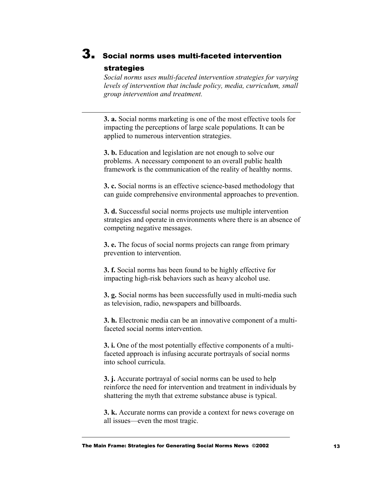### 3. Social norms uses multi-faceted intervention strategies

*Social norms uses multi-faceted intervention strategies for varying levels of intervention that include policy, media, curriculum, small group intervention and treatment.* 

**3. a.** Social norms marketing is one of the most effective tools for impacting the perceptions of large scale populations. It can be applied to numerous intervention strategies.

**3. b.** Education and legislation are not enough to solve our problems. A necessary component to an overall public health framework is the communication of the reality of healthy norms.

**3. c.** Social norms is an effective science-based methodology that can guide comprehensive environmental approaches to prevention.

**3. d.** Successful social norms projects use multiple intervention strategies and operate in environments where there is an absence of competing negative messages.

**3. e.** The focus of social norms projects can range from primary prevention to intervention.

**3. f.** Social norms has been found to be highly effective for impacting high-risk behaviors such as heavy alcohol use.

**3. g.** Social norms has been successfully used in multi-media such as television, radio, newspapers and billboards.

**3. h.** Electronic media can be an innovative component of a multifaceted social norms intervention.

**3. i.** One of the most potentially effective components of a multifaceted approach is infusing accurate portrayals of social norms into school curricula.

**3. j.** Accurate portrayal of social norms can be used to help reinforce the need for intervention and treatment in individuals by shattering the myth that extreme substance abuse is typical.

**3. k.** Accurate norms can provide a context for news coverage on all issues—even the most tragic.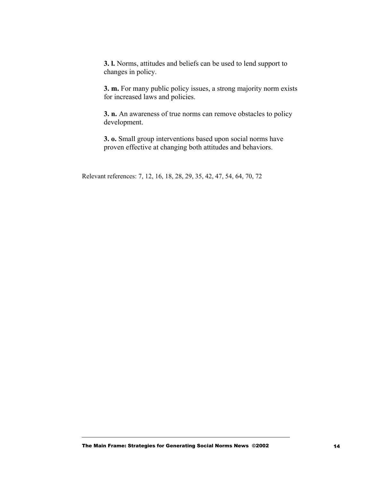**3. l.** Norms, attitudes and beliefs can be used to lend support to changes in policy.

**3. m.** For many public policy issues, a strong majority norm exists for increased laws and policies.

**3. n.** An awareness of true norms can remove obstacles to policy development.

**3. o.** Small group interventions based upon social norms have proven effective at changing both attitudes and behaviors.

Relevant references: 7, 12, 16, 18, 28, 29, 35, 42, 47, 54, 64, 70, 72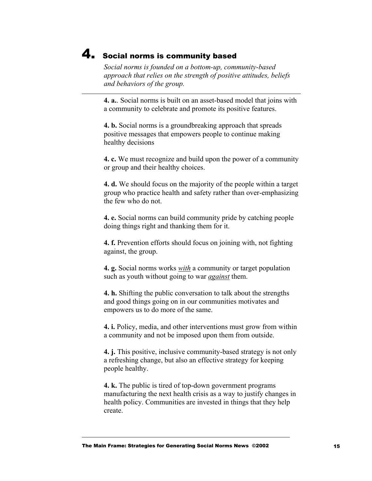### **4.** Social norms is community based

*Social norms is founded on a bottom-up, community-based approach that relies on the strength of positive attitudes, beliefs and behaviors of the group.* 

**4. a.**. Social norms is built on an asset-based model that joins with a community to celebrate and promote its positive features.

**4. b.** Social norms is a groundbreaking approach that spreads positive messages that empowers people to continue making healthy decisions

**4. c.** We must recognize and build upon the power of a community or group and their healthy choices.

**4. d.** We should focus on the majority of the people within a target group who practice health and safety rather than over-emphasizing the few who do not.

**4. e.** Social norms can build community pride by catching people doing things right and thanking them for it.

**4. f.** Prevention efforts should focus on joining with, not fighting against, the group.

**4. g.** Social norms works *with* a community or target population such as youth without going to war *against* them.

**4. h.** Shifting the public conversation to talk about the strengths and good things going on in our communities motivates and empowers us to do more of the same.

**4. i.** Policy, media, and other interventions must grow from within a community and not be imposed upon them from outside.

**4. j.** This positive, inclusive community-based strategy is not only a refreshing change, but also an effective strategy for keeping people healthy.

**4. k.** The public is tired of top-down government programs manufacturing the next health crisis as a way to justify changes in health policy. Communities are invested in things that they help create.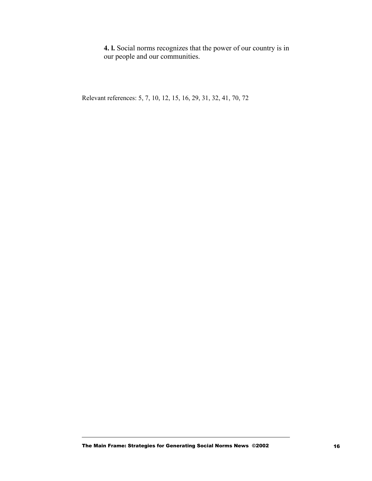**4. l.** Social norms recognizes that the power of our country is in our people and our communities.

Relevant references: 5, 7, 10, 12, 15, 16, 29, 31, 32, 41, 70, 72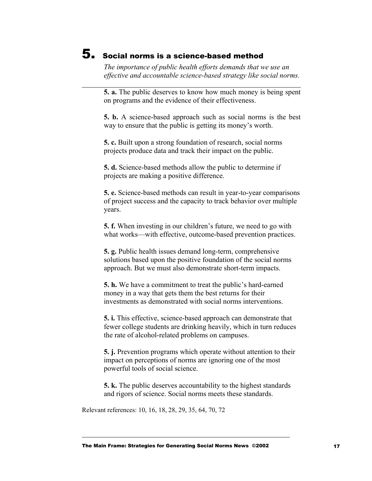### 5. Social norms is a science-based method

*The importance of public health efforts demands that we use an effective and accountable science-based strategy like social norms.*

**5. a.** The public deserves to know how much money is being spent on programs and the evidence of their effectiveness.

**5. b.** A science-based approach such as social norms is the best way to ensure that the public is getting its money's worth.

**5. c.** Built upon a strong foundation of research, social norms projects produce data and track their impact on the public.

**5. d.** Science-based methods allow the public to determine if projects are making a positive difference.

**5. e.** Science-based methods can result in year-to-year comparisons of project success and the capacity to track behavior over multiple years.

**5. f.** When investing in our children's future, we need to go with what works—with effective, outcome-based prevention practices.

**5. g.** Public health issues demand long-term, comprehensive solutions based upon the positive foundation of the social norms approach. But we must also demonstrate short-term impacts.

**5. h.** We have a commitment to treat the public's hard-earned money in a way that gets them the best returns for their investments as demonstrated with social norms interventions.

**5. i.** This effective, science-based approach can demonstrate that fewer college students are drinking heavily, which in turn reduces the rate of alcohol-related problems on campuses.

**5. j.** Prevention programs which operate without attention to their impact on perceptions of norms are ignoring one of the most powerful tools of social science.

**5. k.** The public deserves accountability to the highest standards and rigors of science. Social norms meets these standards.

Relevant references: 10, 16, 18, 28, 29, 35, 64, 70, 72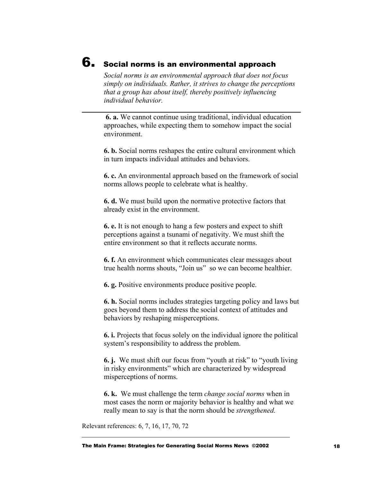### 6.Social norms is an environmental approach

*Social norms is an environmental approach that does not focus simply on individuals. Rather, it strives to change the perceptions that a group has about itself, thereby positively influencing individual behavior.*

**6. a.** We cannot continue using traditional, individual education approaches, while expecting them to somehow impact the social environment.

**6. b.** Social norms reshapes the entire cultural environment which in turn impacts individual attitudes and behaviors.

**6. c.** An environmental approach based on the framework of social norms allows people to celebrate what is healthy.

**6. d.** We must build upon the normative protective factors that already exist in the environment.

**6. e.** It is not enough to hang a few posters and expect to shift perceptions against a tsunami of negativity. We must shift the entire environment so that it reflects accurate norms.

**6. f.** An environment which communicates clear messages about true health norms shouts, "Join us" so we can become healthier.

**6. g.** Positive environments produce positive people.

**6. h.** Social norms includes strategies targeting policy and laws but goes beyond them to address the social context of attitudes and behaviors by reshaping misperceptions.

**6. i.** Projects that focus solely on the individual ignore the political system's responsibility to address the problem.

**6. j.** We must shift our focus from "youth at risk" to "youth living in risky environments" which are characterized by widespread misperceptions of norms.

**6. k.** We must challenge the term *change social norms* when in most cases the norm or majority behavior is healthy and what we really mean to say is that the norm should be *strengthened.*

Relevant references: 6, 7, 16, 17, 70, 72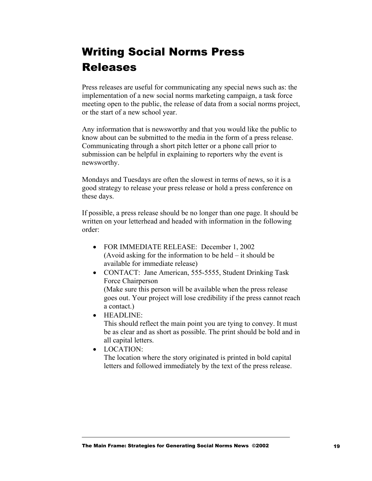# <span id="page-18-0"></span>Writing Social Norms Press Releases

Press releases are useful for communicating any special news such as: the implementation of a new social norms marketing campaign, a task force meeting open to the public, the release of data from a social norms project, or the start of a new school year.

Any information that is newsworthy and that you would like the public to know about can be submitted to the media in the form of a press release. Communicating through a short pitch letter or a phone call prior to submission can be helpful in explaining to reporters why the event is newsworthy.

Mondays and Tuesdays are often the slowest in terms of news, so it is a good strategy to release your press release or hold a press conference on these days.

If possible, a press release should be no longer than one page. It should be written on your letterhead and headed with information in the following order:

- FOR IMMEDIATE RELEASE: December 1, 2002 (Avoid asking for the information to be held – it should be available for immediate release)
- CONTACT: Jane American, 555-5555, Student Drinking Task Force Chairperson (Make sure this person will be available when the press release goes out. Your project will lose credibility if the press cannot reach a contact.)
- HEADLINE:

This should reflect the main point you are tying to convey. It must be as clear and as short as possible. The print should be bold and in all capital letters.

• LOCATION: The location where the story originated is printed in bold capital letters and followed immediately by the text of the press release.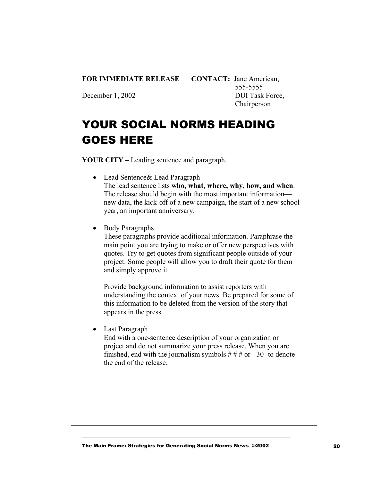#### **FOR IMMEDIATE RELEASE CONTACT:** Jane American,

555-5555 December 1, 2002 DUI Task Force, Chairperson

# YOUR SOCIAL NORMS HEADING GOES HERE

**YOUR CITY –** Leading sentence and paragraph.

- Lead Sentence& Lead Paragraph The lead sentence lists **who, what, where, why, how, and when**. The release should begin with the most important information new data, the kick-off of a new campaign, the start of a new school year, an important anniversary.
- Body Paragraphs

These paragraphs provide additional information. Paraphrase the main point you are trying to make or offer new perspectives with quotes. Try to get quotes from significant people outside of your project. Some people will allow you to draft their quote for them and simply approve it.

Provide background information to assist reporters with understanding the context of your news. Be prepared for some of this information to be deleted from the version of the story that appears in the press.

• Last Paragraph

End with a one-sentence description of your organization or project and do not summarize your press release. When you are finished, end with the journalism symbols  $# ##$  or -30- to denote the end of the release.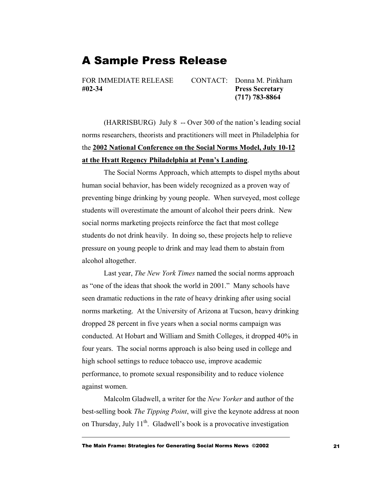### <span id="page-20-0"></span>A Sample Press Release

**#02-34 Press Secretary** 

FOR IMMEDIATE RELEASE CONTACT: Donna M. Pinkham  **(717) 783-8864** 

 (HARRISBURG) July 8 -- Over 300 of the nation's leading social norms researchers, theorists and practitioners will meet in Philadelphia for the **2002 National Conference on the Social Norms Model, July 10-12 at the Hyatt Regency Philadelphia at Penn's Landing**.

The Social Norms Approach, which attempts to dispel myths about human social behavior, has been widely recognized as a proven way of preventing binge drinking by young people. When surveyed, most college students will overestimate the amount of alcohol their peers drink. New social norms marketing projects reinforce the fact that most college students do not drink heavily. In doing so, these projects help to relieve pressure on young people to drink and may lead them to abstain from alcohol altogether.

Last year, *The New York Times* named the social norms approach as "one of the ideas that shook the world in 2001." Many schools have seen dramatic reductions in the rate of heavy drinking after using social norms marketing. At the University of Arizona at Tucson, heavy drinking dropped 28 percent in five years when a social norms campaign was conducted. At Hobart and William and Smith Colleges, it dropped 40% in four years. The social norms approach is also being used in college and high school settings to reduce tobacco use, improve academic performance, to promote sexual responsibility and to reduce violence against women.

 Malcolm Gladwell, a writer for the *New Yorker* and author of the best-selling book *The Tipping Point*, will give the keynote address at noon on Thursday, July  $11<sup>th</sup>$ . Gladwell's book is a provocative investigation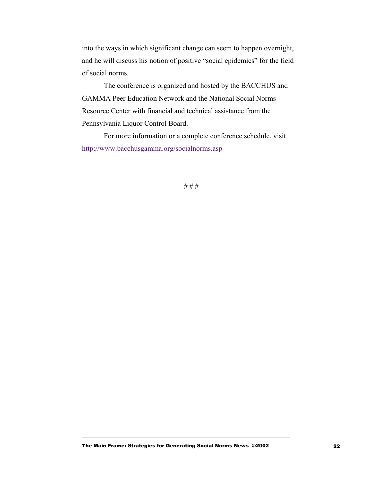into the ways in which significant change can seem to happen overnight, and he will discuss his notion of positive "social epidemics" for the field of social norms.

The conference is organized and hosted by the BACCHUS and GAMMA Peer Education Network and the National Social Norms Resource Center with financial and technical assistance from the Pennsylvania Liquor Control Board.

For more information or a complete conference schedule, visit http://www.bacchusgamma.org/socialnorms.asp

# # #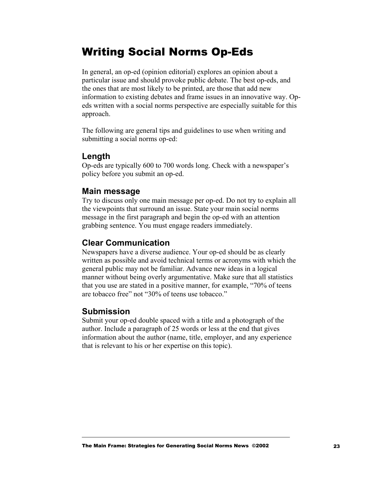### <span id="page-22-0"></span>Writing Social Norms Op-Eds

In general, an op-ed (opinion editorial) explores an opinion about a particular issue and should provoke public debate. The best op-eds, and the ones that are most likely to be printed, are those that add new information to existing debates and frame issues in an innovative way. Opeds written with a social norms perspective are especially suitable for this approach.

The following are general tips and guidelines to use when writing and submitting a social norms op-ed:

#### **Length**

Op-eds are typically 600 to 700 words long. Check with a newspaper's policy before you submit an op-ed.

#### **Main message**

Try to discuss only one main message per op-ed. Do not try to explain all the viewpoints that surround an issue. State your main social norms message in the first paragraph and begin the op-ed with an attention grabbing sentence. You must engage readers immediately.

#### **Clear Communication**

Newspapers have a diverse audience. Your op-ed should be as clearly written as possible and avoid technical terms or acronyms with which the general public may not be familiar. Advance new ideas in a logical manner without being overly argumentative. Make sure that all statistics that you use are stated in a positive manner, for example, "70% of teens are tobacco free" not "30% of teens use tobacco."

#### **Submission**

Submit your op-ed double spaced with a title and a photograph of the author. Include a paragraph of 25 words or less at the end that gives information about the author (name, title, employer, and any experience that is relevant to his or her expertise on this topic).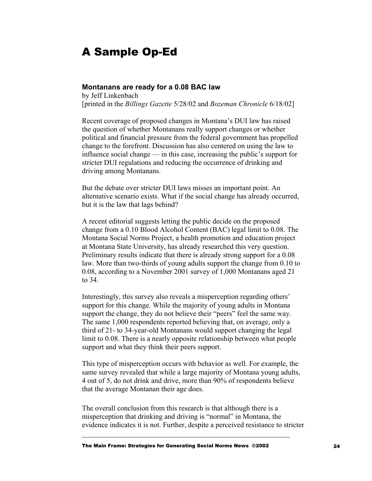### <span id="page-23-0"></span>A Sample Op-Ed

#### **Montanans are ready for a 0.08 BAC law**

by Jeff Linkenbach [printed in the *Billings Gazette* 5/28/02 and *Bozeman Chronicle* 6/18/02]

Recent coverage of proposed changes in Montana's DUI law has raised the question of whether Montanans really support changes or whether political and financial pressure from the federal government has propelled change to the forefront. Discussion has also centered on using the law to influence social change — in this case, increasing the public's support for stricter DUI regulations and reducing the occurrence of drinking and driving among Montanans.

But the debate over stricter DUI laws misses an important point. An alternative scenario exists. What if the social change has already occurred, but it is the law that lags behind?

A recent editorial suggests letting the public decide on the proposed change from a 0.10 Blood Alcohol Content (BAC) legal limit to 0.08. The Montana Social Norms Project, a health promotion and education project at Montana State University, has already researched this very question. Preliminary results indicate that there is already strong support for a 0.08 law. More than two-thirds of young adults support the change from 0.10 to 0.08, according to a November 2001 survey of 1,000 Montanans aged 21 to 34.

Interestingly, this survey also reveals a misperception regarding others' support for this change. While the majority of young adults in Montana support the change, they do not believe their "peers" feel the same way. The same 1,000 respondents reported believing that, on average, only a third of 21- to 34-year-old Montanans would support changing the legal limit to 0.08. There is a nearly opposite relationship between what people support and what they think their peers support.

This type of misperception occurs with behavior as well. For example, the same survey revealed that while a large majority of Montana young adults, 4 out of 5, do not drink and drive, more than 90% of respondents believe that the average Montanan their age does.

The overall conclusion from this research is that although there is a misperception that drinking and driving is "normal" in Montana, the evidence indicates it is not. Further, despite a perceived resistance to stricter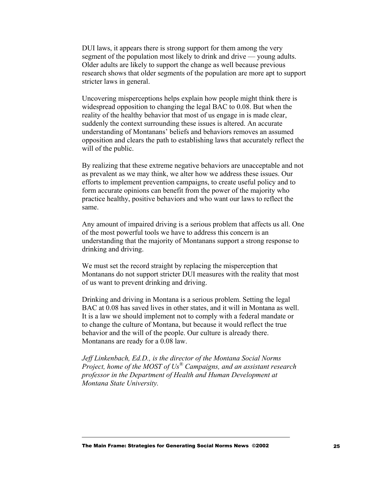DUI laws, it appears there is strong support for them among the very segment of the population most likely to drink and drive — young adults. Older adults are likely to support the change as well because previous research shows that older segments of the population are more apt to support stricter laws in general.

Uncovering misperceptions helps explain how people might think there is widespread opposition to changing the legal BAC to 0.08. But when the reality of the healthy behavior that most of us engage in is made clear, suddenly the context surrounding these issues is altered. An accurate understanding of Montanans' beliefs and behaviors removes an assumed opposition and clears the path to establishing laws that accurately reflect the will of the public.

By realizing that these extreme negative behaviors are unacceptable and not as prevalent as we may think, we alter how we address these issues. Our efforts to implement prevention campaigns, to create useful policy and to form accurate opinions can benefit from the power of the majority who practice healthy, positive behaviors and who want our laws to reflect the same.

Any amount of impaired driving is a serious problem that affects us all. One of the most powerful tools we have to address this concern is an understanding that the majority of Montanans support a strong response to drinking and driving.

We must set the record straight by replacing the misperception that Montanans do not support stricter DUI measures with the reality that most of us want to prevent drinking and driving.

Drinking and driving in Montana is a serious problem. Setting the legal BAC at 0.08 has saved lives in other states, and it will in Montana as well. It is a law we should implement not to comply with a federal mandate or to change the culture of Montana, but because it would reflect the true behavior and the will of the people. Our culture is already there. Montanans are ready for a 0.08 law.

*Jeff Linkenbach, Ed.D., is the director of the Montana Social Norms Project, home of the MOST of Us® Campaigns, and an assistant research professor in the Department of Health and Human Development at Montana State University.*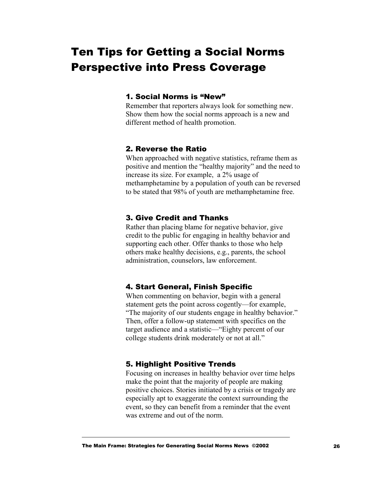# <span id="page-25-0"></span>Ten Tips for Getting a Social Norms Perspective into Press Coverage

#### 1. Social Norms is "New"

Remember that reporters always look for something new. Show them how the social norms approach is a new and different method of health promotion.

#### 2. Reverse the Ratio

When approached with negative statistics, reframe them as positive and mention the "healthy majority" and the need to increase its size. For example, a 2% usage of methamphetamine by a population of youth can be reversed to be stated that 98% of youth are methamphetamine free.

#### 3. Give Credit and Thanks

Rather than placing blame for negative behavior, give credit to the public for engaging in healthy behavior and supporting each other. Offer thanks to those who help others make healthy decisions, e.g., parents, the school administration, counselors, law enforcement.

#### 4. Start General, Finish Specific

When commenting on behavior, begin with a general statement gets the point across cogently—for example, "The majority of our students engage in healthy behavior." Then, offer a follow-up statement with specifics on the target audience and a statistic—"Eighty percent of our college students drink moderately or not at all."

#### 5. Highlight Positive Trends

Focusing on increases in healthy behavior over time helps make the point that the majority of people are making positive choices. Stories initiated by a crisis or tragedy are especially apt to exaggerate the context surrounding the event, so they can benefit from a reminder that the event was extreme and out of the norm.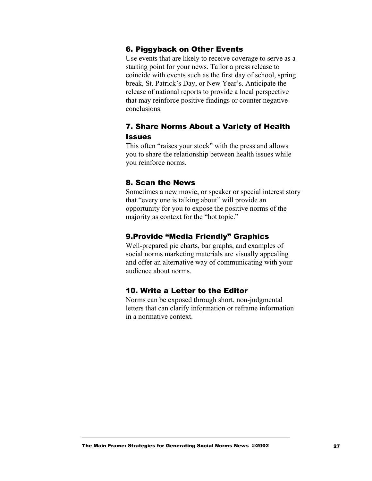#### 6. Piggyback on Other Events

Use events that are likely to receive coverage to serve as a starting point for your news. Tailor a press release to coincide with events such as the first day of school, spring break, St. Patrick's Day, or New Year's. Anticipate the release of national reports to provide a local perspective that may reinforce positive findings or counter negative conclusions.

#### 7. Share Norms About a Variety of Health **Issues**

This often "raises your stock" with the press and allows you to share the relationship between health issues while you reinforce norms.

#### 8. Scan the News

Sometimes a new movie, or speaker or special interest story that "every one is talking about" will provide an opportunity for you to expose the positive norms of the majority as context for the "hot topic."

#### 9.Provide "Media Friendly" Graphics

Well-prepared pie charts, bar graphs, and examples of social norms marketing materials are visually appealing and offer an alternative way of communicating with your audience about norms.

#### 10. Write a Letter to the Editor

Norms can be exposed through short, non-judgmental letters that can clarify information or reframe information in a normative context.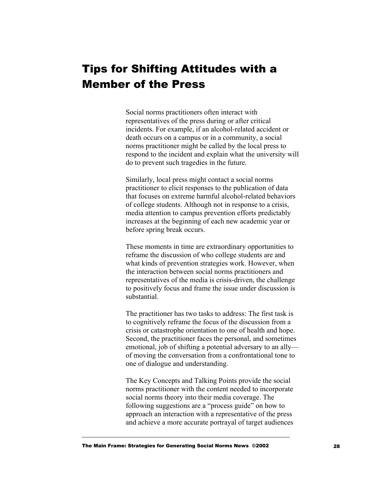### <span id="page-27-0"></span>Tips for Shifting Attitudes with a Member of the Press

Social norms practitioners often interact with representatives of the press during or after critical incidents. For example, if an alcohol-related accident or death occurs on a campus or in a community, a social norms practitioner might be called by the local press to respond to the incident and explain what the university will do to prevent such tragedies in the future.

Similarly, local press might contact a social norms practitioner to elicit responses to the publication of data that focuses on extreme harmful alcohol-related behaviors of college students. Although not in response to a crisis, media attention to campus prevention efforts predictably increases at the beginning of each new academic year or before spring break occurs.

These moments in time are extraordinary opportunities to reframe the discussion of who college students are and what kinds of prevention strategies work. However, when the interaction between social norms practitioners and representatives of the media is crisis-driven, the challenge to positively focus and frame the issue under discussion is substantial.

The practitioner has two tasks to address: The first task is to cognitively reframe the focus of the discussion from a crisis or catastrophe orientation to one of health and hope. Second, the practitioner faces the personal, and sometimes emotional, job of shifting a potential adversary to an ally of moving the conversation from a confrontational tone to one of dialogue and understanding.

The Key Concepts and Talking Points provide the social norms practitioner with the content needed to incorporate social norms theory into their media coverage. The following suggestions are a "process guide" on how to approach an interaction with a representative of the press and achieve a more accurate portrayal of target audiences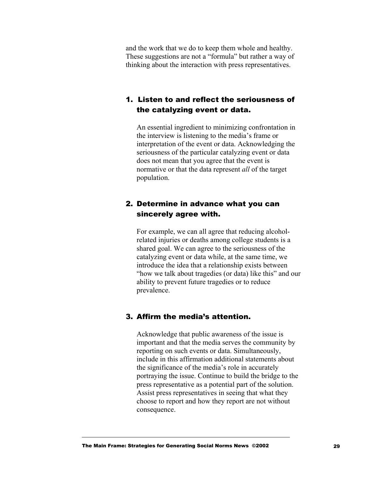and the work that we do to keep them whole and healthy. These suggestions are not a "formula" but rather a way of thinking about the interaction with press representatives.

#### 1. Listen to and reflect the seriousness of the catalyzing event or data.

An essential ingredient to minimizing confrontation in the interview is listening to the media's frame or interpretation of the event or data. Acknowledging the seriousness of the particular catalyzing event or data does not mean that you agree that the event is normative or that the data represent *all* of the target population.

#### 2. Determine in advance what you can sincerely agree with.

For example, we can all agree that reducing alcoholrelated injuries or deaths among college students is a shared goal. We can agree to the seriousness of the catalyzing event or data while, at the same time, we introduce the idea that a relationship exists between "how we talk about tragedies (or data) like this" and our ability to prevent future tragedies or to reduce prevalence.

#### 3. Affirm the media's attention.

Acknowledge that public awareness of the issue is important and that the media serves the community by reporting on such events or data. Simultaneously, include in this affirmation additional statements about the significance of the media's role in accurately portraying the issue. Continue to build the bridge to the press representative as a potential part of the solution. Assist press representatives in seeing that what they choose to report and how they report are not without consequence.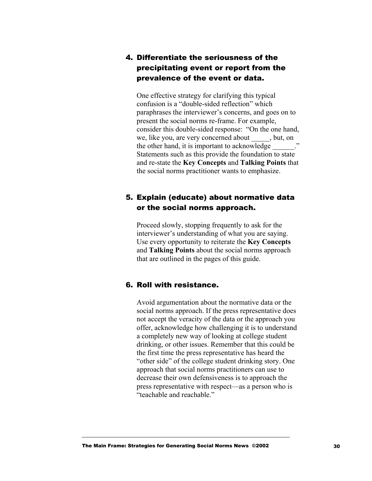#### 4. Differentiate the seriousness of the precipitating event or report from the prevalence of the event or data.

One effective strategy for clarifying this typical confusion is a "double-sided reflection" which paraphrases the interviewer's concerns, and goes on to present the social norms re-frame. For example, consider this double-sided response: "On the one hand, we, like you, are very concerned about \_\_\_\_\_, but, on the other hand, it is important to acknowledge  $\ddot{\hspace{1cm}}$ . Statements such as this provide the foundation to state and re-state the **Key Concepts** and **Talking Points** that the social norms practitioner wants to emphasize.

#### 5. Explain (educate) about normative data or the social norms approach.

Proceed slowly, stopping frequently to ask for the interviewer's understanding of what you are saying. Use every opportunity to reiterate the **Key Concepts** and **Talking Points** about the social norms approach that are outlined in the pages of this guide.

#### 6. Roll with resistance.

Avoid argumentation about the normative data or the social norms approach. If the press representative does not accept the veracity of the data or the approach you offer, acknowledge how challenging it is to understand a completely new way of looking at college student drinking, or other issues. Remember that this could be the first time the press representative has heard the "other side" of the college student drinking story. One approach that social norms practitioners can use to decrease their own defensiveness is to approach the press representative with respect—as a person who is "teachable and reachable."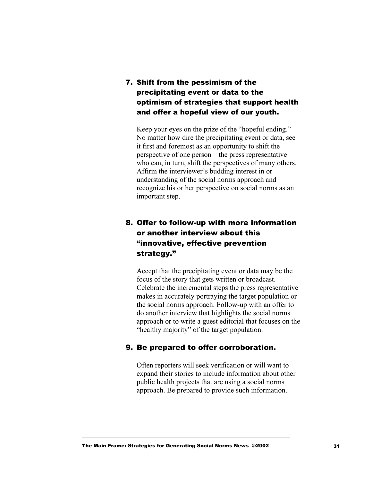7. Shift from the pessimism of the precipitating event or data to the optimism of strategies that support health and offer a hopeful view of our youth.

Keep your eyes on the prize of the "hopeful ending." No matter how dire the precipitating event or data, see it first and foremost as an opportunity to shift the perspective of one person—the press representative who can, in turn, shift the perspectives of many others. Affirm the interviewer's budding interest in or understanding of the social norms approach and recognize his or her perspective on social norms as an important step.

#### 8. Offer to follow-up with more information or another interview about this "innovative, effective prevention strategy."

Accept that the precipitating event or data may be the focus of the story that gets written or broadcast. Celebrate the incremental steps the press representative makes in accurately portraying the target population or the social norms approach. Follow-up with an offer to do another interview that highlights the social norms approach or to write a guest editorial that focuses on the "healthy majority" of the target population.

#### 9. Be prepared to offer corroboration.

Often reporters will seek verification or will want to expand their stories to include information about other public health projects that are using a social norms approach. Be prepared to provide such information.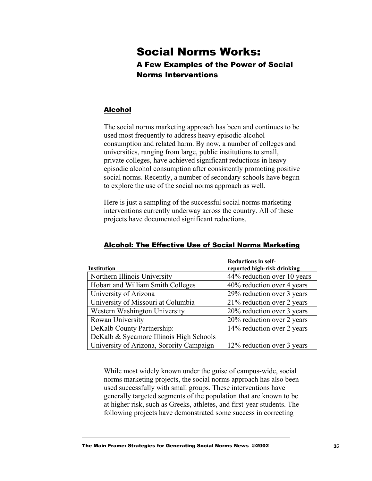### <span id="page-31-0"></span>Social Norms Works: A Few Examples of the Power of Social Norms Interventions

#### Alcohol

The social norms marketing approach has been and continues to be used most frequently to address heavy episodic alcohol consumption and related harm. By now, a number of colleges and universities, ranging from large, public institutions to small, private colleges, have achieved significant reductions in heavy episodic alcohol consumption after consistently promoting positive social norms. Recently, a number of secondary schools have begun to explore the use of the social norms approach as well.

Here is just a sampling of the successful social norms marketing interventions currently underway across the country. All of these projects have documented significant reductions.

| <b>Institution</b>                       | <b>Reductions in self-</b><br>reported high-risk drinking |
|------------------------------------------|-----------------------------------------------------------|
| Northern Illinois University             | 44% reduction over 10 years                               |
| Hobart and William Smith Colleges        | 40% reduction over 4 years                                |
| University of Arizona                    | 29% reduction over 3 years                                |
| University of Missouri at Columbia       | 21% reduction over 2 years                                |
| Western Washington University            | 20% reduction over 3 years                                |
| Rowan University                         | 20% reduction over 2 years                                |
| DeKalb County Partnership:               | 14% reduction over 2 years                                |
| DeKalb & Sycamore Illinois High Schools  |                                                           |
| University of Arizona, Sorority Campaign | 12% reduction over 3 years                                |

#### Alcohol: The Effective Use of Social Norms Marketing

While most widely known under the guise of campus-wide, social norms marketing projects, the social norms approach has also been used successfully with small groups. These interventions have generally targeted segments of the population that are known to be at higher risk, such as Greeks, athletes, and first-year students. The following projects have demonstrated some success in correcting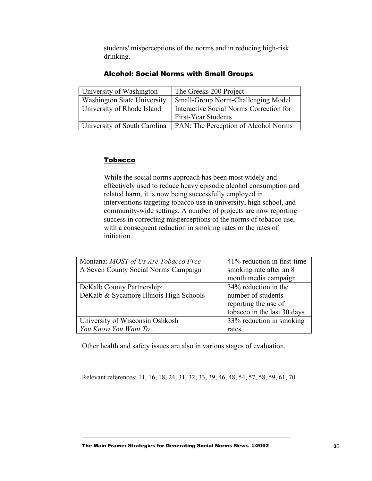students' misperceptions of the norms and in reducing high-risk drinking.

| University of Washington           | The Greeks 200 Project                      |
|------------------------------------|---------------------------------------------|
| <b>Washington State University</b> | Small-Group Norm-Challenging Model          |
| University of Rhode Island         | Interactive Social Norms Correction for     |
|                                    | First-Year Students                         |
| University of South Carolina       | <b>PAN: The Perception of Alcohol Norms</b> |

#### Alcohol: Social Norms with Small Groups

#### **Tobacco**

While the social norms approach has been most widely and effectively used to reduce heavy episodic alcohol consumption and related harm, it is now being successfully employed in interventions targeting tobacco use in university, high school, and community-wide settings. A number of projects are now reporting success in correcting misperceptions of the norms of tobacco use, with a consequent reduction in smoking rates or the rates of initiation.

| Montana: MOST of Us Are Tobacco Free    | 41% reduction in first-time |
|-----------------------------------------|-----------------------------|
| A Seven County Social Norms Campaign    | smoking rate after an 8     |
|                                         | month media campaign        |
| DeKalb County Partnership:              | 34% reduction in the        |
| DeKalb & Sycamore Illinois High Schools | number of students          |
|                                         | reporting the use of        |
|                                         | tobacco in the last 30 days |
| University of Wisconsin Oshkosh         | 33% reduction in smoking    |
| You Know You Want To                    | rates                       |

Other health and safety issues are also in various stages of evaluation.

Relevant references: 11, 16, 18, 24, 31, 32, 33, 39, 46, 48, 54, 57, 58, 59, 61, 70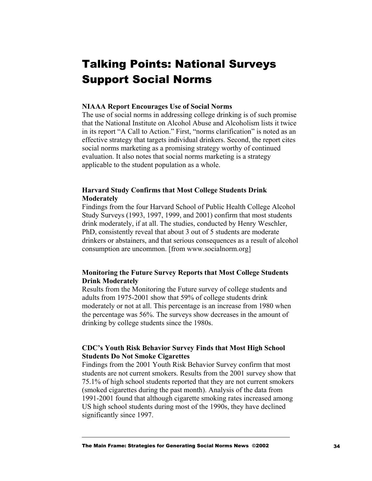# <span id="page-33-0"></span>Talking Points: National Surveys Support Social Norms

#### **NIAAA Report Encourages Use of Social Norms**

The use of social norms in addressing college drinking is of such promise that the National Institute on Alcohol Abuse and Alcoholism lists it twice in its report "A Call to Action." First, "norms clarification" is noted as an effective strategy that targets individual drinkers. Second, the report cites social norms marketing as a promising strategy worthy of continued evaluation. It also notes that social norms marketing is a strategy applicable to the student population as a whole.

#### **Harvard Study Confirms that Most College Students Drink Moderately**

Findings from the four Harvard School of Public Health College Alcohol Study Surveys (1993, 1997, 1999, and 2001) confirm that most students drink moderately, if at all. The studies, conducted by Henry Weschler, PhD, consistently reveal that about 3 out of 5 students are moderate drinkers or abstainers, and that serious consequences as a result of alcohol consumption are uncommon. [from www.socialnorm.org]

#### **Monitoring the Future Survey Reports that Most College Students Drink Moderately**

Results from the Monitoring the Future survey of college students and adults from 1975-2001 show that 59% of college students drink moderately or not at all. This percentage is an increase from 1980 when the percentage was 56%. The surveys show decreases in the amount of drinking by college students since the 1980s.

#### **CDC's Youth Risk Behavior Survey Finds that Most High School Students Do Not Smoke Cigarettes**

Findings from the 2001 Youth Risk Behavior Survey confirm that most students are not current smokers. Results from the 2001 survey show that 75.1% of high school students reported that they are not current smokers (smoked cigarettes during the past month). Analysis of the data from 1991-2001 found that although cigarette smoking rates increased among US high school students during most of the 1990s, they have declined significantly since 1997.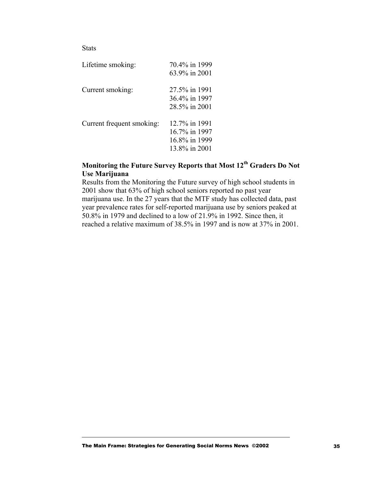#### **Stats**

| Lifetime smoking:         | 70.4% in 1999<br>63.9% in 2001                                   |
|---------------------------|------------------------------------------------------------------|
| Current smoking:          | 27.5% in 1991<br>36.4% in 1997<br>28.5% in 2001                  |
| Current frequent smoking: | 12.7% in 1991<br>16.7% in 1997<br>16.8% in 1999<br>13.8% in 2001 |

#### **Monitoring the Future Survey Reports that Most 12th Graders Do Not Use Marijuana**

Results from the Monitoring the Future survey of high school students in 2001 show that 63% of high school seniors reported no past year marijuana use. In the 27 years that the MTF study has collected data, past year prevalence rates for self-reported marijuana use by seniors peaked at 50.8% in 1979 and declined to a low of 21.9% in 1992. Since then, it reached a relative maximum of 38.5% in 1997 and is now at 37% in 2001.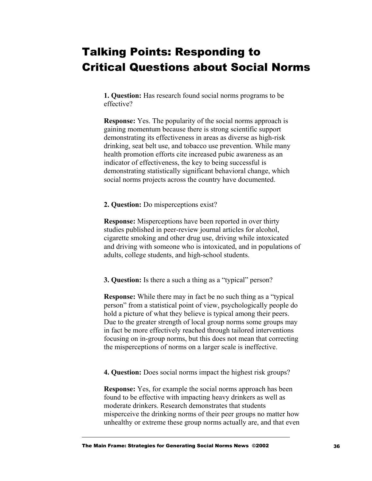# <span id="page-35-0"></span>Talking Points: Responding to Critical Questions about Social Norms

**1. Question:** Has research found social norms programs to be effective?

**Response:** Yes. The popularity of the social norms approach is gaining momentum because there is strong scientific support demonstrating its effectiveness in areas as diverse as high-risk drinking, seat belt use, and tobacco use prevention. While many health promotion efforts cite increased pubic awareness as an indicator of effectiveness, the key to being successful is demonstrating statistically significant behavioral change, which social norms projects across the country have documented.

**2. Question:** Do misperceptions exist?

**Response:** Misperceptions have been reported in over thirty studies published in peer-review journal articles for alcohol, cigarette smoking and other drug use, driving while intoxicated and driving with someone who is intoxicated, and in populations of adults, college students, and high-school students.

**3. Question:** Is there a such a thing as a "typical" person?

**Response:** While there may in fact be no such thing as a "typical person" from a statistical point of view, psychologically people do hold a picture of what they believe is typical among their peers. Due to the greater strength of local group norms some groups may in fact be more effectively reached through tailored interventions focusing on in-group norms, but this does not mean that correcting the misperceptions of norms on a larger scale is ineffective.

**4. Question:** Does social norms impact the highest risk groups?

**Response:** Yes, for example the social norms approach has been found to be effective with impacting heavy drinkers as well as moderate drinkers. Research demonstrates that students misperceive the drinking norms of their peer groups no matter how unhealthy or extreme these group norms actually are, and that even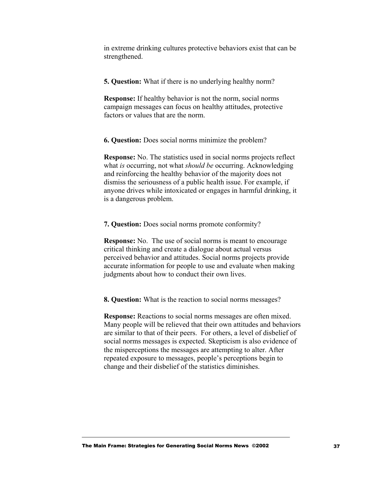in extreme drinking cultures protective behaviors exist that can be strengthened.

**5. Question:** What if there is no underlying healthy norm?

**Response:** If healthy behavior is not the norm, social norms campaign messages can focus on healthy attitudes, protective factors or values that are the norm.

**6. Question:** Does social norms minimize the problem?

**Response:** No. The statistics used in social norms projects reflect what *is* occurring, not what *should be* occurring. Acknowledging and reinforcing the healthy behavior of the majority does not dismiss the seriousness of a public health issue. For example, if anyone drives while intoxicated or engages in harmful drinking, it is a dangerous problem.

**7. Question:** Does social norms promote conformity?

**Response:** No. The use of social norms is meant to encourage critical thinking and create a dialogue about actual versus perceived behavior and attitudes. Social norms projects provide accurate information for people to use and evaluate when making judgments about how to conduct their own lives.

**8. Question:** What is the reaction to social norms messages?

**Response:** Reactions to social norms messages are often mixed. Many people will be relieved that their own attitudes and behaviors are similar to that of their peers. For others, a level of disbelief of social norms messages is expected. Skepticism is also evidence of the misperceptions the messages are attempting to alter. After repeated exposure to messages, people's perceptions begin to change and their disbelief of the statistics diminishes.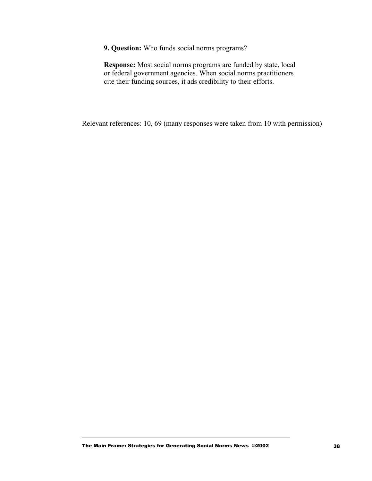**9. Question:** Who funds social norms programs?

**Response:** Most social norms programs are funded by state, local or federal government agencies. When social norms practitioners cite their funding sources, it ads credibility to their efforts.

Relevant references: 10, 69 (many responses were taken from 10 with permission)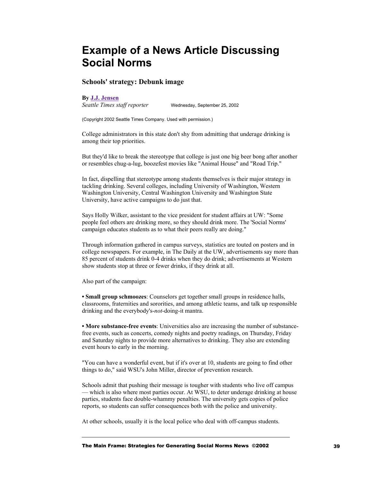### <span id="page-38-0"></span>**Example of a News Article Discussing Social Norms**

#### **Schools' strategy: Debunk image**

#### **By J.J. Jensen**

*Seattle Times staff reporter* Wednesday, September 25, 2002

(Copyright 2002 Seattle Times Company. Used with permission.)

College administrators in this state don't shy from admitting that underage drinking is among their top priorities.

But they'd like to break the stereotype that college is just one big beer bong after another or resembles chug-a-lug, boozefest movies like "Animal House" and "Road Trip."

In fact, dispelling that stereotype among students themselves is their major strategy in tackling drinking. Several colleges, including University of Washington, Western Washington University, Central Washington University and Washington State University, have active campaigns to do just that.

Says Holly Wilker, assistant to the vice president for student affairs at UW: "Some people feel others are drinking more, so they should drink more. The 'Social Norms' campaign educates students as to what their peers really are doing."

Through information gathered in campus surveys, statistics are touted on posters and in college newspapers. For example, in The Daily at the UW, advertisements say more than 85 percent of students drink 0-4 drinks when they do drink; advertisements at Western show students stop at three or fewer drinks, if they drink at all.

Also part of the campaign:

**• Small group schmoozes**: Counselors get together small groups in residence halls, classrooms, fraternities and sororities, and among athletic teams, and talk up responsible drinking and the everybody's-*not*-doing-it mantra.

**• More substance-free events**: Universities also are increasing the number of substancefree events, such as concerts, comedy nights and poetry readings, on Thursday, Friday and Saturday nights to provide more alternatives to drinking. They also are extending event hours to early in the morning.

"You can have a wonderful event, but if it's over at 10, students are going to find other things to do," said WSU's John Miller, director of prevention research.

Schools admit that pushing their message is tougher with students who live off campus — which is also where most parties occur. At WSU, to deter underage drinking at house parties, students face double-whammy penalties. The university gets copies of police reports, so students can suffer consequences both with the police and university.

At other schools, usually it is the local police who deal with off-campus students.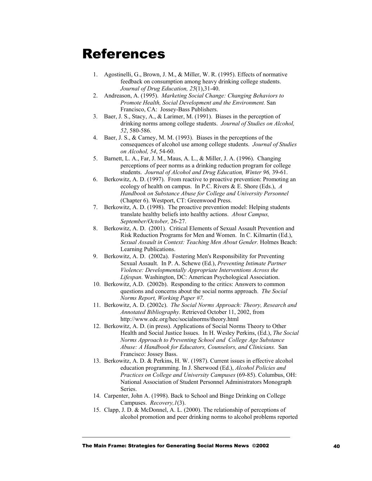## References

- 1. Agostinelli, G., Brown, J. M., & Miller, W. R. (1995). Effects of normative feedback on consumption among heavy drinking college students. *Journal of Drug Education, 25*(1),31-40.
- 2. Andreason, A. (1995). *Marketing Social Change: Changing Behaviors to Promote Health, Social Development and the Environment.* San Francisco, CA: Jossey-Bass Publishers.
- 3. Baer, J. S., Stacy, A., & Larimer, M. (1991). Biases in the perception of drinking norms among college students. *Journal of Studies on Alcohol, 52*, 580-586.
- 4. Baer, J. S., & Carney, M. M. (1993). Biases in the perceptions of the consequences of alcohol use among college students. *Journal of Studies on Alcohol, 54*, 54-60.
- 5. Barnett, L. A., Far, J. M., Maus, A. L., & Miller, J. A. (1996). Changing perceptions of peer norms as a drinking reduction program for college students. *Journal of Alcohol and Drug Education, Winter 96,* 39-61.
- 6. Berkowitz, A. D. (1997). From reactive to proactive prevention: Promoting an ecology of health on campus. In P.C. Rivers & E. Shore (Eds.), *A Handbook on Substance Abuse for College and University Personnel* (Chapter 6). Westport, CT: Greenwood Press.
- 7. Berkowitz, A. D. (1998). The proactive prevention model: Helping students translate healthy beliefs into healthy actions. *About Campus, September/October,* 26-27.
- 8. Berkowitz, A. D. (2001). Critical Elements of Sexual Assault Prevention and Risk Reduction Programs for Men and Women. In C. Kilmartin (Ed.), *Sexual Assault in Context: Teaching Men About Gender.* Holmes Beach: Learning Publications.
- 9. Berkowitz, A. D. (2002a). Fostering Men's Responsibility for Preventing Sexual Assault. In P. A. Schewe (Ed.), *Preventing Intimate Partner Violence: Developmentally Appropriate Interventions Across the Lifespan.* Washington, DC: American Psychological Association.
- 10. Berkowitz, A.D. (2002b). Responding to the critics: Answers to common questions and concerns about the social norms approach. *The Social Norms Report, Working Paper #7.*
- 11. Berkowitz, A. D. (2002c). *The Social Norms Approach: Theory, Research and Annotated Bibliography.* Retrieved October 11, 2002, from http://www.edc.org/hec/socialnorms/theory.html
- 12. Berkowitz, A. D. (in press). Applications of Social Norms Theory to Other Health and Social Justice Issues. In H. Wesley Perkins, (Ed.), *The Social Norms Approach to Preventing School and College Age Substance Abuse: A Handbook for Educators, Counselors, and Clinicians.* San Francisco: Jossey Bass.
- 13. Berkowitz, A. D. & Perkins, H. W. (1987). Current issues in effective alcohol education programming. In J. Sherwood (Ed.), *Alcohol Policies and Practices on College and University Campuses* (69-85). Columbus, OH: National Association of Student Personnel Administrators Monograph Series.
- 14. Carpenter, John A. (1998). Back to School and Binge Drinking on College Campuses. *Recovery,1*(3).
- 15. Clapp, J. D. & McDonnel, A. L. (2000). The relationship of perceptions of alcohol promotion and peer drinking norms to alcohol problems reported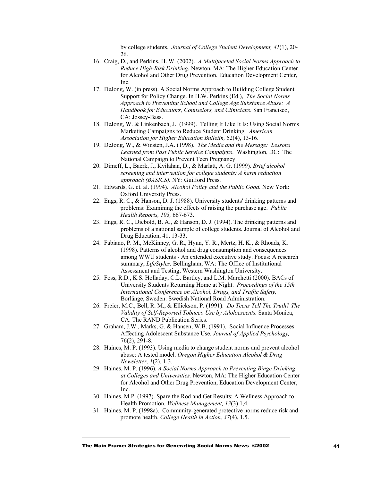by college students. *Journal of College Student Development, 41*(1), 20- 26.

- 16. Craig, D., and Perkins, H. W. (2002). *A Multifaceted Social Norms Approach to Reduce High-Risk Drinking.* Newton, MA: The Higher Education Center for Alcohol and Other Drug Prevention, Education Development Center, Inc.
- 17. DeJong, W. (in press). A Social Norms Approach to Building College Student Support for Policy Change. In H.W. Perkins (Ed.), *The Social Norms Approach to Preventing School and College Age Substance Abuse: A Handbook for Educators, Counselors, and Clinicians.* San Francisco, CA: Jossey-Bass.
- 18. DeJong, W. & Linkenbach, J. (1999). Telling It Like It Is: Using Social Norms Marketing Campaigns to Reduce Student Drinking. *American Association for Higher Education Bulletin,* 52(4), 13-16.
- 19. DeJong, W., & Winsten, J.A. (1998). *The Media and the Message: Lessons Learned from Past Public Service Campaigns*. Washington, DC: The National Campaign to Prevent Teen Pregnancy.
- 20. Dimeff, L., Baerk, J., Kvilahan, D., & Marlatt, A. G. (1999). *Brief alcohol screening and intervention for college students: A harm reduction approach (BASICS).* NY: Guilford Press.
- 21. Edwards, G. et. al. (1994). *Alcohol Policy and the Public Good.* New York: Oxford University Press.
- 22. Engs, R. C., & Hanson, D. J. (1988). University students' drinking patterns and problems: Examining the effects of raising the purchase age. *Public Health Reports, 103,* 667-673.
- 23. Engs, R. C., Diebold, B. A., & Hanson, D. J. (1994). The drinking patterns and problems of a national sample of college students. Journal of Alcohol and Drug Education, 41, 13-33.
- 24. Fabiano, P. M., McKinney, G. R., Hyun, Y. R., Mertz, H. K., & Rhoads, K. (1998). Patterns of alcohol and drug consumption and consequences among WWU students - An extended executive study. Focus: A research summary, *LifeStyles.* Bellingham, WA: The Office of Institutional Assessment and Testing, Western Washington University.
- 25. Foss, R.D., K.S. Holladay, C.L. Bartley, and L.M. Marchetti (2000). BACs of University Students Returning Home at Night. *Proceedings of the 15th International Conference on Alcohol, Drugs, and Traffic Safety,*  Borlänge, Sweden: Swedish National Road Administration.
- 26. Freier, M.C., Bell, R. M., & Ellickson, P. (1991). *Do Teens Tell The Truth? The Validity of Self-Reported Tobacco Use by Adoloescents.* Santa Monica, CA. The RAND Publication Series.
- 27. Graham, J.W., Marks, G. & Hansen, W.B. (1991). Social Influence Processes Affecting Adolescent Substance Use. *Journal of Applied Psychology,* 76(2), 291-8.
- 28. Haines, M. P. (1993). Using media to change student norms and prevent alcohol abuse: A tested model. *Oregon Higher Education Alcohol & Drug Newsletter, 1*(2), 1-3.
- 29. Haines, M. P. (1996). *A Social Norms Approach to Preventing Binge Drinking at Colleges and Universities.* Newton, MA: The Higher Education Center for Alcohol and Other Drug Prevention, Education Development Center, Inc.
- 30. Haines, M.P. (1997). Spare the Rod and Get Results: A Wellness Approach to Health Promotion. *Wellness Management, 13*(3) 1,4.
- 31. Haines, M. P. (1998a). Community-generated protective norms reduce risk and promote health. *College Health in Action, 37*(4), 1,5.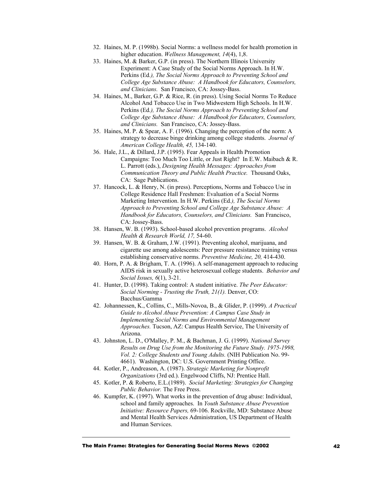- 32. Haines, M. P. (1998b). Social Norms: a wellness model for health promotion in higher education. *Wellness Management, 14*(4), 1,8.
- 33. Haines, M. & Barker, G.P. (in press). The Northern Illinois University Experiment: A Case Study of the Social Norms Approach. In H.W. Perkins (Ed*.), The Social Norms Approach to Preventing School and College Age Substance Abuse: A Handbook for Educators, Counselors, and Clinicians.* San Francisco, CA: Jossey-Bass.
- 34. Haines, M., Barker, G.P. & Rice, R. (in press). Using Social Norms To Reduce Alcohol And Tobacco Use in Two Midwestern High Schools. In H.W. Perkins (Ed*.), The Social Norms Approach to Preventing School and College Age Substance Abuse: A Handbook for Educators, Counselors, and Clinicians.* San Francisco, CA: Jossey-Bass.
- 35. Haines, M. P. & Spear, A. F. (1996). Changing the perception of the norm: A strategy to decrease binge drinking among college students. *Journal of American College Health, 45,* 134-140.
- 36. Hale, J.L., & Dillard, J.P. (1995). Fear Appeals in Health Promotion Campaigns: Too Much Too Little, or Just Right? In E.W. Maibach & R. L. Parrott (eds.), *Designing Health Messages: Approaches from Communication Theory and Public Health Practice.* Thousand Oaks, CA: Sage Publications.
- 37. Hancock, L. & Henry, N. (in press). Perceptions, Norms and Tobacco Use in College Residence Hall Freshmen: Evaluation of a Social Norms Marketing Intervention. In H.W. Perkins (Ed*.), The Social Norms Approach to Preventing School and College Age Substance Abuse: A Handbook for Educators, Counselors, and Clinicians.* San Francisco, CA: Jossey-Bass.
- 38. Hansen, W. B. (1993). School-based alcohol prevention programs. *Alcohol Health & Research World, 17,* 54-60.
- 39. Hansen, W. B. & Graham, J.W. (1991). Preventing alcohol, marijuana, and cigarette use among adolescents: Peer pressure resistance training versus establishing conservative norms. *Preventive Medicine, 20,* 414-430.
- 40. Horn, P. A. & Brigham, T. A. (1996). A self-management approach to reducing AIDS risk in sexually active heterosexual college students. *Behavior and Social Issues, 6*(1), 3-21.
- 41. Hunter, D. (1998). Taking control: A student initiative. *The Peer Educator: Social Norming - Trusting the Truth, 21(1).* Denver, CO: Bacchus/Gamma
- 42. Johannessen, K., Collins, C., Mills-Novoa, B., & Glider, P. (1999). *A Practical Guide to Alcohol Abuse Prevention: A Campus Case Study in Implementing Social Norms and Environmental Management Approaches.* Tucson, AZ: Campus Health Service, The University of Arizona.
- 43. Johnston, L. D., O'Malley, P. M., & Bachman, J. G. (1999). *National Survey Results on Drug Use from the Monitoring the Future Study. 1975-1998, Vol. 2: College Students and Young Adults.* (NIH Publication No. 99- 4661). Washington, DC: U.S. Government Printing Office.
- 44. Kotler, P., Andreason, A. (1987). *Strategic Marketing for Nonprofit Organizations* (3rd ed.). Engelwood Cliffs, NJ: Prentice Hall.
- 45. Kotler, P. & Roberto, E.L.(1989). *Social Marketing: Strategies for Changing Public Behavior.* The Free Press.
- 46. Kumpfer, K. (1997). What works in the prevention of drug abuse: Individual, school and family approaches. In *Youth Substance Abuse Prevention Initiative: Resource Papers,* 69-106. Rockville, MD: Substance Abuse and Mental Health Services Administration, US Department of Health and Human Services.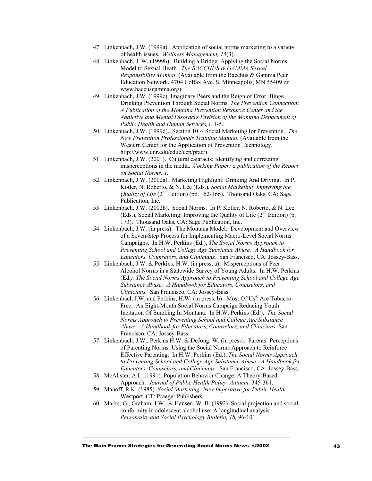- 47. Linkenbach, J.W. (1999a). Application of social norms marketing to a variety of health issues. *Wellness Management, 15*(3).
- 48. Linkenbach, J. W. (1999b). Building a Bridge: Applying the Social Norms Model to Sexual Heath. *The BACCHUS & GAMMA Sexual Responsibility Manual*. (Available from the Bacchus & Gamma Peer Education Network, 4704 Colfax Ave. S. Minneapolis, MN 55409 or www.baccusgamma.org).
- 49. Linkenbach, J.W. (1999c). Imaginary Peers and the Reign of Error: Binge Drinking Prevention Through Social Norms. *The Prevention Connection*: *A Publication of the Montana Prevention Resource Center and the Addictive and Mental Disorders Division of the Montana Department of Public Health and Human Services,3,* 1-5.
- 50. Linkenbach, J.W. (1999d). Section 10 -- Social Marketing for Prevention. *The New Prevention Professionals Training Manual.* (Available from the Western Center for the Application of Prevention Technology, http://www.unr.edu/educ/cep/prac/)
- 51. Linkenbach, J.W. (2001). Cultural cataracts: Identifying and correcting misperceptions in the media. *Working Paper: a publication of the Report on Social Norms, 1.*
- 52. Linkenbach, J.W. (2002a). Marketing Highlight: Drinking And Driving. In P. Kotler, N. Roberto, & N. Lee (Eds.), *Social Marketing*: *Improving the Quality of Life* (2<sup>nd</sup> Edition) (pp. 162-166). Thousand Oaks, CA: Sage Publication, Inc.
- 53. Linkenbach, J.W. (2002b). Social Norms. In P. Kotler, N. Roberto, & N. Lee (Eds.), Social Marketing: Improving the Quality of Life  $(2<sup>nd</sup> Edition)$  (p. 173). Thousand Oaks, CA: Sage Publication, Inc.
- 54. Linkenbach, J.W. (in press). The Montana Model: Development and Overview of a Seven-Step Process for Implementing Macro-Level Social Norms Campaigns. In H.W. Perkins (Ed.), *The Social Norms Approach to Preventing School and College Age Substance Abuse: A Handbook for Educators, Counselors, and Clinicians.* San Francisco, CA: Jossey-Bass.
- 55. Linkenbach, J.W. & Perkins, H.W. (in press, a). Misperceptions of Peer Alcohol Norms in a Statewide Survey of Young Adults. In H.W. Perkins (Ed*.), The Social Norms Approach to Preventing School and College Age Substance Abuse: A Handbook for Educators, Counselors, and Clinicians.* San Francisco, CA: Jossey-Bass.
- 56. Linkenbach J.W. and Perkins, H.W. (in press, b). Most Of Us® Are Tobacco-Free: An Eight-Month Social Norms Campaign Reducing Youth Incitation Of Smoking In Montana. In H.W. Perkins (Ed.), *The Social Norms Approach to Preventing School and College Age Substance Abuse: A Handbook for Educators, Counselors, and Clinicians.* San Francisco, CA: Jossey-Bass.
- 57. Linkenbach, J.W., Perkins H.W. & DeJong, W. (in press). Parents' Perceptions of Parenting Norms: Using the Social Norms Approach to Reinforce Effective Parenting. In H.W. Perkins (Ed.), *The Social Norms Approach to Preventing School and College Age Substance Abuse: A Handbook for Educators, Counselors, and Clinicians.* San Francisco, CA: Jossey-Bass.
- 58. McAlister, A.L. (1991). Population Behavior Change: A Theory-Based Approach. *Journal of Public Health Policy, Autumn,* 345-361.
- 59. Manoff, R.K. (1985). *Social Marketing: New Imperative for Public Health.* Westport, CT: Praeger Publishers.
- 60. Marks, G., Graham, J.W., & Hansen, W. B. (1992). Social projection and social conformity in adolescent alcohol use: A longitudinal analysis. *Personality and Social Psychology Bulletin, 18,* 96-101.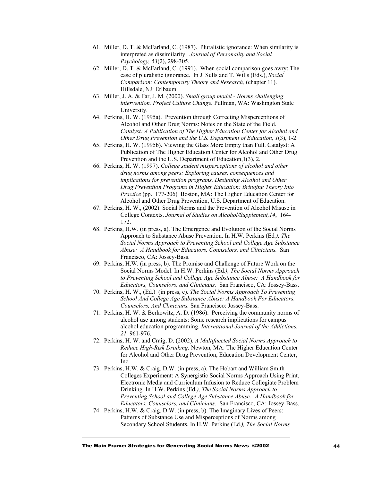- 61. Miller, D. T. & McFarland, C. (1987). Pluralistic ignorance: When similarity is interpreted as dissimilarity. *Journal of Personality and Social Psychology, 53*(2), 298-305.
- 62. Miller, D. T. & McFarland, C. (1991). When social comparison goes awry: The case of pluralistic ignorance. In J. Sulls and T. Wills (Eds.), *Social Comparison: Contemporary Theory and Research,* (chapter 11). Hillsdale, NJ: Erlbaum.
- 63. Miller, J. A. & Far, J. M. (2000). *Small group model Norms challenging intervention. Project Culture Change.* Pullman, WA: Washington State University.
- 64. Perkins, H. W. (1995a). Prevention through Correcting Misperceptions of Alcohol and Other Drug Norms: Notes on the State of the Field. *Catalyst: A Publication of The Higher Education Center for Alcohol and Other Drug Prevention and the U.S. Department of Education, 1*(3), 1-2.
- 65. Perkins, H. W. (1995b). Viewing the Glass More Empty than Full. Catalyst: A Publication of The Higher Education Center for Alcohol and Other Drug Prevention and the U.S. Department of Education, 1(3), 2.
- 66. Perkins, H. W. (1997). *College student misperceptions of alcohol and other drug norms among peers: Exploring causes, consequences and implications for prevention programs. Designing Alcohol and Other Drug Prevention Programs in Higher Education: Bringing Theory Into Practice* (pp. 177-206)*.* Boston, MA: The Higher Education Center for Alcohol and Other Drug Prevention, U.S. Department of Education.
- 67. Perkins, H. W., (2002). Social Norms and the Prevention of Alcohol Misuse in College Contexts. *Journal of Studies on Alcohol/Supplement,14*, 164- 172.
- 68. Perkins, H.W. (in press, a). The Emergence and Evolution of the Social Norms Approach to Substance Abuse Prevention. In H.W. Perkins (Ed*.), The Social Norms Approach to Preventing School and College Age Substance Abuse: A Handbook for Educators, Counselors, and Clinicians.* San Francisco, CA: Jossey-Bass.
- 69. Perkins, H.W. (in press, b). The Promise and Challenge of Future Work on the Social Norms Model. In H.W. Perkins (Ed*.), The Social Norms Approach to Preventing School and College Age Substance Abuse: A Handbook for Educators, Counselors, and Clinicians.* San Francisco, CA: Jossey-Bass.
- 70. Perkins, H. W., (Ed.) (in press, c). *The Social Norms Approach To Preventing School And College Age Substance Abuse: A Handbook For Educators, Counselors, And Clinicians.* San Francisco: Jossey-Bass.
- 71. Perkins, H. W. & Berkowitz, A. D. (1986). Perceiving the community norms of alcohol use among students: Some research implications for campus alcohol education programming. *International Journal of the Addictions, 21,* 961-976.
- 72. Perkins, H. W. and Craig, D. (2002). *A Multifaceted Social Norms Approach to Reduce High-Risk Drinking.* Newton, MA: The Higher Education Center for Alcohol and Other Drug Prevention, Education Development Center, Inc.
- 73. Perkins, H.W. & Craig, D.W. (in press, a). The Hobart and William Smith Colleges Experiment: A Synergistic Social Norms Approach Using Print, Electronic Media and Curriculum Infusion to Reduce Collegiate Problem Drinking. In H.W. Perkins (Ed*.), The Social Norms Approach to Preventing School and College Age Substance Abuse: A Handbook for Educators, Counselors, and Clinicians.* San Francisco, CA: Jossey-Bass.
- 74. Perkins, H.W. & Craig, D.W. (in press, b). The Imaginary Lives of Peers: Patterns of Substance Use and Misperceptions of Norms among Secondary School Students. In H.W. Perkins (Ed*.), The Social Norms*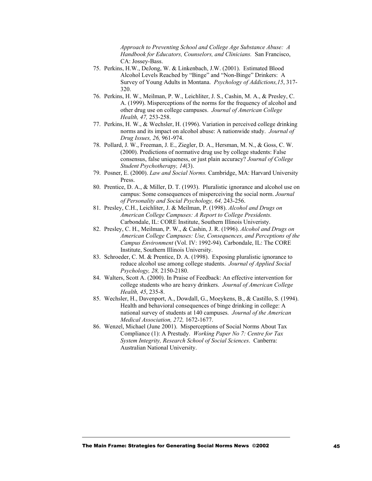*Approach to Preventing School and College Age Substance Abuse: A Handbook for Educators, Counselors, and Clinicians.* San Francisco, CA: Jossey-Bass.

- 75. Perkins, H.W., DeJong, W. & Linkenbach, J.W. (2001). Estimated Blood Alcohol Levels Reached by "Binge" and "Non-Binge" Drinkers: A Survey of Young Adults in Montana. *Psychology of Addictions,15*, 317- 320.
- 76. Perkins, H. W., Meilman, P. W., Leichliter, J. S., Cashin, M. A., & Presley, C. A. (1999). Misperceptions of the norms for the frequency of alcohol and other drug use on college campuses. *Journal of American College Health, 47,* 253-258.
- 77. Perkins, H. W., & Wechsler, H. (1996). Variation in perceived college drinking norms and its impact on alcohol abuse: A nationwide study. *Journal of Drug Issues, 26,* 961-974.
- 78. Pollard, J. W., Freeman, J. E., Ziegler, D. A., Hersman, M. N., & Goss, C. W. (2000). Predictions of normative drug use by college students: False consensus, false uniqueness, or just plain accuracy? *Journal of College Student Psychotherapy, 14*(3).
- 79. Posner, E. (2000). *Law and Social Norms.* Cambridge, MA: Harvard University Press.
- 80. Prentice, D. A., & Miller, D. T. (1993). Pluralistic ignorance and alcohol use on campus: Some consequences of misperceiving the social norm. *Journal of Personality and Social Psychology, 64,* 243-256.
- 81. Presley, C.H., Leichliter, J. & Meilman, P. (1998). *Alcohol and Drugs on American College Campuses: A Report to College Presidents.* Carbondale, IL: CORE Institute, Southern Illinois Univeristy.
- 82. Presley, C. H., Meilman, P. W., & Cashin, J. R. (1996). *Alcohol and Drugs on American College Campuses: Use, Consequences, and Perceptions of the Campus Environment* (Vol. IV: 1992-94). Carbondale, IL: The CORE Institute, Southern Illinois University.
- 83. Schroeder, C. M. & Prentice, D. A. (1998). Exposing pluralistic ignorance to reduce alcohol use among college students. *Journal of Applied Social Psychology, 28,* 2150-2180.
- 84. Walters, Scott A. (2000). In Praise of Feedback: An effective intervention for college students who are heavy drinkers. *Journal of American College Health, 45*, 235-8.
- 85. Wechsler, H., Davenport, A., Dowdall, G., Moeykens, B., & Castillo, S. (1994). Health and behavioral consequences of binge drinking in college: A national survey of students at 140 campuses. *Journal of the American Medical Association, 272,* 1672-1677.
- 86. Wenzel, Michael (June 2001). Misperceptions of Social Norms About Tax Compliance (1): A Prestudy. *Working Paper No 7: Centre for Tax System Integrity, Research School of Social Sciences*. Canberra: Australian National University.